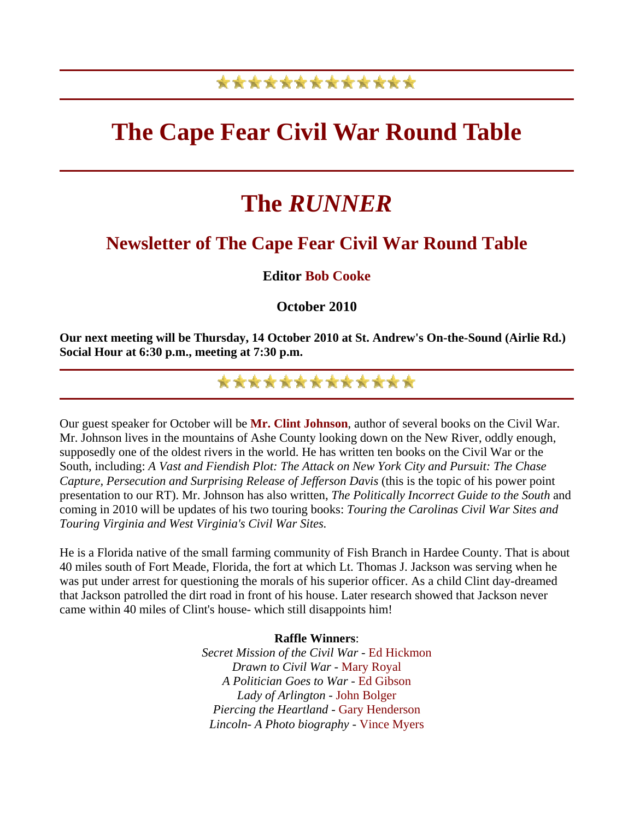## \*\*\*\*\*\*\*\*\*\*\*\*\*

## **The Cape Fear Civil War Round Table**

# **The** *RUNNER*

### **Newsletter of The Cape Fear Civil War Round Table**

#### **Editor Bob Cooke**

#### **October 2010**

**Our next meeting will be Thursday, 14 October 2010 at St. Andrew's On-the-Sound (Airlie Rd.) Social Hour at 6:30 p.m., meeting at 7:30 p.m.**

## \*\*\*\*\*\*\*\*\*\*\*\*\*

Our guest speaker for October will be **Mr. Clint Johnson**, author of several books on the Civil War. Mr. Johnson lives in the mountains of Ashe County looking down on the New River, oddly enough, supposedly one of the oldest rivers in the world. He has written ten books on the Civil War or the South, including: *A Vast and Fiendish Plot: The Attack on New York City and Pursuit: The Chase Capture, Persecution and Surprising Release of Jefferson Davis* (this is the topic of his power point presentation to our RT). Mr. Johnson has also written, *The Politically Incorrect Guide to the South* and coming in 2010 will be updates of his two touring books: *Touring the Carolinas Civil War Sites and Touring Virginia and West Virginia's Civil War Sites.*

He is a Florida native of the small farming community of Fish Branch in Hardee County. That is about 40 miles south of Fort Meade, Florida, the fort at which Lt. Thomas J. Jackson was serving when he was put under arrest for questioning the morals of his superior officer. As a child Clint day-dreamed that Jackson patrolled the dirt road in front of his house. Later research showed that Jackson never came within 40 miles of Clint's house- which still disappoints him!

#### **Raffle Winners**:

*Secret Mission of the Civil War* - Ed Hickmon *Drawn to Civil War* - Mary Royal *A Politician Goes to War* - Ed Gibson *Lady of Arlington* - John Bolger *Piercing the Heartland* - Gary Henderson *Lincoln- A Photo biography* - Vince Myers